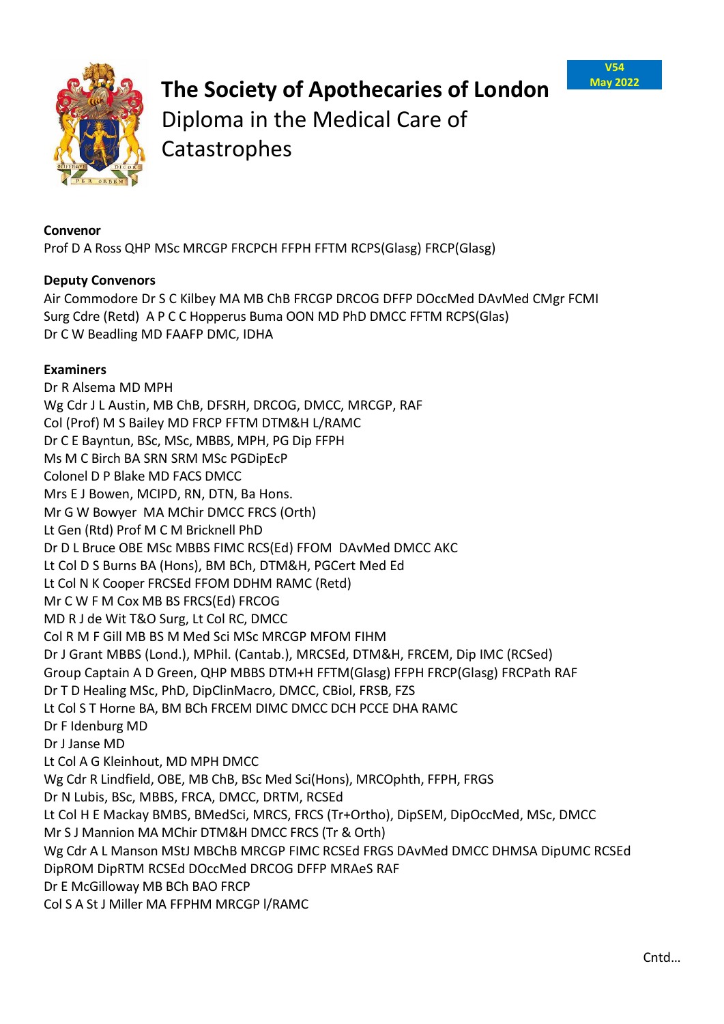



## **The Society of Apothecaries of London**  Diploma in the Medical Care of

Catastrophes

## **Convenor**

Prof D A Ross QHP MSc MRCGP FRCPCH FFPH FFTM RCPS(Glasg) FRCP(Glasg)

## **Deputy Convenors**

Air Commodore Dr S C Kilbey MA MB ChB FRCGP DRCOG DFFP DOccMed DAvMed CMgr FCMI Surg Cdre (Retd) A P C C Hopperus Buma OON MD PhD DMCC FFTM RCPS(Glas) Dr C W Beadling MD FAAFP DMC, IDHA

## **Examiners**

Dr R Alsema MD MPH Wg Cdr J L Austin, MB ChB, DFSRH, DRCOG, DMCC, MRCGP, RAF Col (Prof) M S Bailey MD FRCP FFTM DTM&H L/RAMC Dr C E Bayntun, BSc, MSc, MBBS, MPH, PG Dip FFPH Ms M C Birch BA SRN SRM MSc PGDipEcP Colonel D P Blake MD FACS DMCC Mrs E J Bowen, MCIPD, RN, DTN, Ba Hons. Mr G W Bowyer MA MChir DMCC FRCS (Orth) Lt Gen (Rtd) Prof M C M Bricknell PhD Dr D L Bruce OBE MSc MBBS FIMC RCS(Ed) FFOM DAvMed DMCC AKC Lt Col D S Burns BA (Hons), BM BCh, DTM&H, PGCert Med Ed Lt Col N K Cooper FRCSEd FFOM DDHM RAMC (Retd) Mr C W F M Cox MB BS FRCS(Ed) FRCOG MD R J de Wit T&O Surg, Lt Col RC, DMCC Col R M F Gill MB BS M Med Sci MSc MRCGP MFOM FIHM Dr J Grant MBBS (Lond.), MPhil. (Cantab.), MRCSEd, DTM&H, FRCEM, Dip IMC (RCSed) Group Captain A D Green, QHP MBBS DTM+H FFTM(Glasg) FFPH FRCP(Glasg) FRCPath RAF Dr T D Healing MSc, PhD, DipClinMacro, DMCC, CBiol, FRSB, FZS Lt Col S T Horne BA, BM BCh FRCEM DIMC DMCC DCH PCCE DHA RAMC Dr F Idenburg MD Dr J Janse MD Lt Col A G Kleinhout, MD MPH DMCC Wg Cdr R Lindfield, OBE, MB ChB, BSc Med Sci(Hons), MRCOphth, FFPH, FRGS Dr N Lubis, BSc, MBBS, FRCA, DMCC, DRTM, RCSEd Lt Col H E Mackay BMBS, BMedSci, MRCS, FRCS (Tr+Ortho), DipSEM, DipOccMed, MSc, DMCC Mr S J Mannion MA MChir DTM&H DMCC FRCS (Tr & Orth) Wg Cdr A L Manson MStJ MBChB MRCGP FIMC RCSEd FRGS DAvMed DMCC DHMSA DipUMC RCSEd DipROM DipRTM RCSEd DOccMed DRCOG DFFP MRAeS RAF Dr E McGilloway MB BCh BAO FRCP Col S A St J Miller MA FFPHM MRCGP l/RAMC